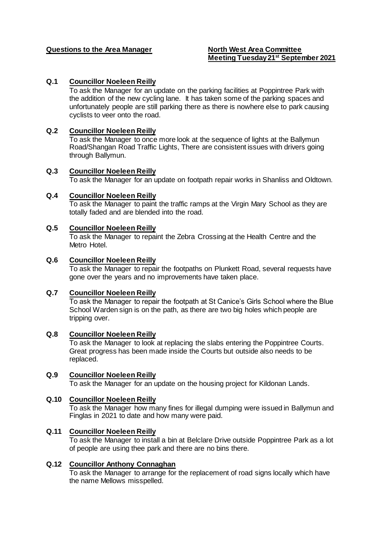# **Questions to the Area Manager North West Area Committee**

# **Meeting Tuesday 21st September 2021**

# **Q.1 Councillor Noeleen Reilly**

To ask the Manager for an update on the parking facilities at Poppintree Park with the addition of the new cycling lane. It has taken some of the parking spaces and unfortunately people are still parking there as there is nowhere else to park causing cyclists to veer onto the road.

#### **Q.2 Councillor Noeleen Reilly**

To ask the Manager to once more look at the sequence of lights at the Ballymun Road/Shangan Road Traffic Lights, There are consistent issues with drivers going through Ballymun.

#### **Q.3 Councillor Noeleen Reilly**

To ask the Manager for an update on footpath repair works in Shanliss and Oldtown.

#### **Q.4 Councillor Noeleen Reilly**

To ask the Manager to paint the traffic ramps at the Virgin Mary School as they are totally faded and are blended into the road.

#### **Q.5 Councillor Noeleen Reilly**

To ask the Manager to repaint the Zebra Crossing at the Health Centre and the Metro Hotel.

#### **Q.6 Councillor Noeleen Reilly**

To ask the Manager to repair the footpaths on Plunkett Road, several requests have gone over the years and no improvements have taken place.

#### **Q.7 Councillor Noeleen Reilly**

To ask the Manager to repair the footpath at St Canice's Girls School where the Blue School Warden sign is on the path, as there are two big holes which people are tripping over.

#### **Q.8 Councillor Noeleen Reilly**

To ask the Manager to look at replacing the slabs entering the Poppintree Courts. Great progress has been made inside the Courts but outside also needs to be replaced.

# **Q.9 Councillor Noeleen Reilly**

To ask the Manager for an update on the housing project for Kildonan Lands.

#### **Q.10 Councillor Noeleen Reilly**

To ask the Manager how many fines for illegal dumping were issued in Ballymun and Finglas in 2021 to date and how many were paid.

#### **Q.11 Councillor Noeleen Reilly**

To ask the Manager to install a bin at Belclare Drive outside Poppintree Park as a lot of people are using thee park and there are no bins there.

#### **Q.12 Councillor Anthony Connaghan**

To ask the Manager to arrange for the replacement of road signs locally which have the name Mellows misspelled.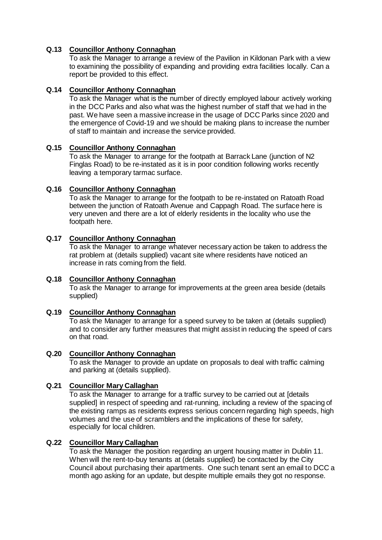# **Q.13 Councillor Anthony Connaghan**

To ask the Manager to arrange a review of the Pavilion in Kildonan Park with a view to examining the possibility of expanding and providing extra facilities locally. Can a report be provided to this effect.

## **Q.14 Councillor Anthony Connaghan**

To ask the Manager what is the number of directly employed labour actively working in the DCC Parks and also what was the highest number of staff that we had in the past. We have seen a massive increase in the usage of DCC Parks since 2020 and the emergence of Covid-19 and we should be making plans to increase the number of staff to maintain and increase the service provided.

## **Q.15 Councillor Anthony Connaghan**

To ask the Manager to arrange for the footpath at Barrack Lane (junction of N2 Finglas Road) to be re-instated as it is in poor condition following works recently leaving a temporary tarmac surface.

# **Q.16 Councillor Anthony Connaghan**

To ask the Manager to arrange for the footpath to be re-instated on Ratoath Road between the junction of Ratoath Avenue and Cappagh Road. The surface here is very uneven and there are a lot of elderly residents in the locality who use the footpath here.

# **Q.17 Councillor Anthony Connaghan**

To ask the Manager to arrange whatever necessary action be taken to address the rat problem at (details supplied) vacant site where residents have noticed an increase in rats coming from the field.

# **Q.18 Councillor Anthony Connaghan**

To ask the Manager to arrange for improvements at the green area beside (details supplied)

## **Q.19 Councillor Anthony Connaghan**

To ask the Manager to arrange for a speed survey to be taken at (details supplied) and to consider any further measures that might assist in reducing the speed of cars on that road.

# **Q.20 Councillor Anthony Connaghan**

To ask the Manager to provide an update on proposals to deal with traffic calming and parking at (details supplied).

## **Q.21 Councillor Mary Callaghan**

To ask the Manager to arrange for a traffic survey to be carried out at [details supplied] in respect of speeding and rat-running, including a review of the spacing of the existing ramps as residents express serious concern regarding high speeds, high volumes and the use of scramblers and the implications of these for safety, especially for local children.

## **Q.22 Councillor Mary Callaghan**

To ask the Manager the position regarding an urgent housing matter in Dublin 11. When will the rent-to-buy tenants at (details supplied) be contacted by the City Council about purchasing their apartments. One such tenant sent an email to DCC a month ago asking for an update, but despite multiple emails they got no response.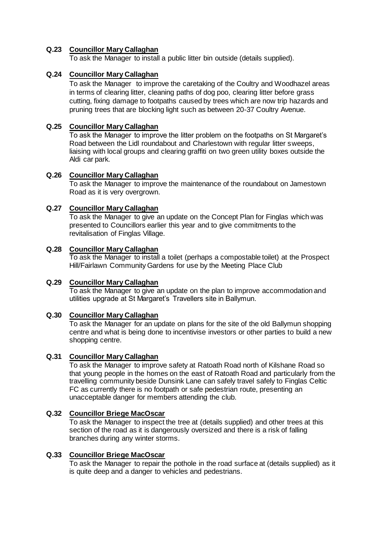# **Q.23 Councillor Mary Callaghan**

To ask the Manager to install a public litter bin outside (details supplied).

## **Q.24 Councillor Mary Callaghan**

To ask the Manager to improve the caretaking of the Coultry and Woodhazel areas in terms of clearing litter, cleaning paths of dog poo, clearing litter before grass cutting, fixing damage to footpaths caused by trees which are now trip hazards and pruning trees that are blocking light such as between 20-37 Coultry Avenue.

## **Q.25 Councillor Mary Callaghan**

To ask the Manager to improve the litter problem on the footpaths on St Margaret's Road between the Lidl roundabout and Charlestown with regular litter sweeps, liaising with local groups and clearing graffiti on two green utility boxes outside the Aldi car park.

## **Q.26 Councillor Mary Callaghan**

To ask the Manager to improve the maintenance of the roundabout on Jamestown Road as it is very overgrown.

# **Q.27 Councillor Mary Callaghan**

To ask the Manager to give an update on the Concept Plan for Finglas which was presented to Councillors earlier this year and to give commitments to the revitalisation of Finglas Village.

## **Q.28 Councillor Mary Callaghan**

To ask the Manager to install a toilet (perhaps a compostable toilet) at the Prospect Hill/Fairlawn Community Gardens for use by the Meeting Place Club

## **Q.29 Councillor Mary Callaghan**

To ask the Manager to give an update on the plan to improve accommodation and utilities upgrade at St Margaret's Travellers site in Ballymun.

## **Q.30 Councillor Mary Callaghan**

To ask the Manager for an update on plans for the site of the old Ballymun shopping centre and what is being done to incentivise investors or other parties to build a new shopping centre.

# **Q.31 Councillor Mary Callaghan**

To ask the Manager to improve safety at Ratoath Road north of Kilshane Road so that young people in the homes on the east of Ratoath Road and particularly from the travelling community beside Dunsink Lane can safely travel safely to Finglas Celtic FC as currently there is no footpath or safe pedestrian route, presenting an unacceptable danger for members attending the club.

## **Q.32 Councillor Briege MacOscar**

To ask the Manager to inspect the tree at (details supplied) and other trees at this section of the road as it is dangerously oversized and there is a risk of falling branches during any winter storms.

#### **Q.33 Councillor Briege MacOscar**

To ask the Manager to repair the pothole in the road surface at (details supplied) as it is quite deep and a danger to vehicles and pedestrians.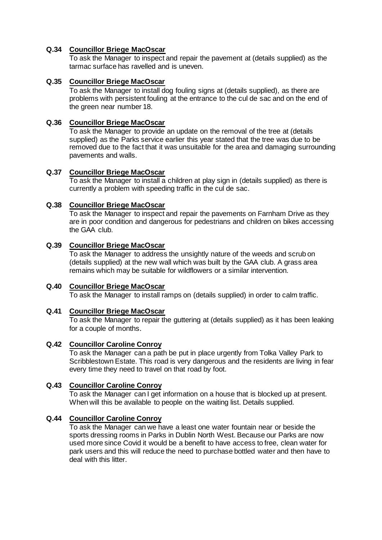# **Q.34 Councillor Briege MacOscar**

To ask the Manager to inspect and repair the pavement at (details supplied) as the tarmac surface has ravelled and is uneven.

## **Q.35 Councillor Briege MacOscar**

To ask the Manager to install dog fouling signs at (details supplied), as there are problems with persistent fouling at the entrance to the cul de sac and on the end of the green near number 18.

## **Q.36 Councillor Briege MacOscar**

To ask the Manager to provide an update on the removal of the tree at (details supplied) as the Parks service earlier this year stated that the tree was due to be removed due to the fact that it was unsuitable for the area and damaging surrounding pavements and walls.

#### **Q.37 Councillor Briege MacOscar**

To ask the Manager to install a children at play sign in (details supplied) as there is currently a problem with speeding traffic in the cul de sac.

## **Q.38 Councillor Briege MacOscar**

To ask the Manager to inspect and repair the pavements on Farnham Drive as they are in poor condition and dangerous for pedestrians and children on bikes accessing the GAA club.

## **Q.39 Councillor Briege MacOscar**

To ask the Manager to address the unsightly nature of the weeds and scrub on (details supplied) at the new wall which was built by the GAA club. A grass area remains which may be suitable for wildflowers or a similar intervention.

#### **Q.40 Councillor Briege MacOscar**  To ask the Manager to install ramps on (details supplied) in order to calm traffic.

## **Q.41 Councillor Briege MacOscar**

To ask the Manager to repair the guttering at (details supplied) as it has been leaking for a couple of months.

## **Q.42 Councillor Caroline Conroy**

To ask the Manager can a path be put in place urgently from Tolka Valley Park to Scribblestown Estate. This road is very dangerous and the residents are living in fear every time they need to travel on that road by foot.

## **Q.43 Councillor Caroline Conroy**

To ask the Manager can I get information on a house that is blocked up at present. When will this be available to people on the waiting list. Details supplied.

## **Q.44 Councillor Caroline Conroy**

To ask the Manager can we have a least one water fountain near or beside the sports dressing rooms in Parks in Dublin North West. Because our Parks are now used more since Covid it would be a benefit to have access to free, clean water for park users and this will reduce the need to purchase bottled water and then have to deal with this litter.